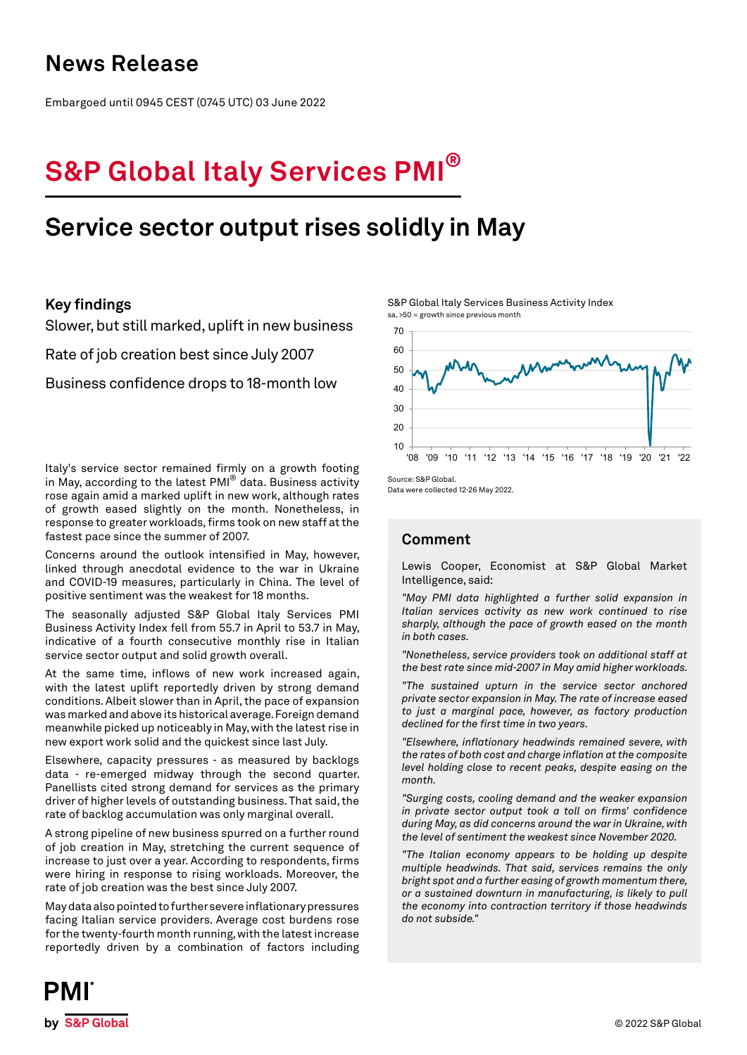### **News Release**

Embargoed until 0945 CEST (0745 UTC) 03 June 2022

# **S&P Global Italy Services PMI®**

## **Service sector output rises solidly in May**

### **Key findings**

Slower, but still marked, uplift in new business

Rate of job creation best since July 2007

Business confidence drops to 18-month low

Italy's service sector remained firmly on a growth footing in May, according to the latest PMI® data. Business activity rose again amid a marked uplift in new work, although rates of growth eased slightly on the month. Nonetheless, in response to greater workloads, firms took on new staff at the fastest pace since the summer of 2007.

Concerns around the outlook intensified in May, however, linked through anecdotal evidence to the war in Ukraine and COVID-19 measures, particularly in China. The level of positive sentiment was the weakest for 18 months.

The seasonally adjusted S&P Global Italy Services PMI Business Activity Index fell from 55.7 in April to 53.7 in May, indicative of a fourth consecutive monthly rise in Italian service sector output and solid growth overall.

At the same time, inflows of new work increased again, with the latest uplift reportedly driven by strong demand conditions. Albeit slower than in April, the pace of expansion was marked and above its historical average. Foreign demand meanwhile picked up noticeably in May, with the latest rise in new export work solid and the quickest since last July.

Elsewhere, capacity pressures - as measured by backlogs data - re-emerged midway through the second quarter. Panellists cited strong demand for services as the primary driver of higher levels of outstanding business. That said, the rate of backlog accumulation was only marginal overall.

A strong pipeline of new business spurred on a further round of job creation in May, stretching the current sequence of increase to just over a year. According to respondents, firms were hiring in response to rising workloads. Moreover, the rate of job creation was the best since July 2007.

May data also pointed to further severe inflationary pressures facing Italian service providers. Average cost burdens rose for the twenty-fourth month running, with the latest increase reportedly driven by a combination of factors including S&P Global Italy Services Business Activity Index sa, >50 = growth since previous month



Source: S&P Global.

Data were collected 12-26 May 2022.

### **Comment**

Lewis Cooper, Economist at S&P Global Market Intelligence, said:

*"May PMI data highlighted a further solid expansion in Italian services activity as new work continued to rise sharply, although the pace of growth eased on the month in both cases.* 

*"Nonetheless, service providers took on additional staff at the best rate since mid-2007 in May amid higher workloads.*

*"The sustained upturn in the service sector anchored private sector expansion in May. The rate of increase eased to just a marginal pace, however, as factory production declined for the first time in two years.*

*"Elsewhere, inflationary headwinds remained severe, with the rates of both cost and charge inflation at the composite level holding close to recent peaks, despite easing on the month.*

*"Surging costs, cooling demand and the weaker expansion in private sector output took a toll on firms' confidence during May, as did concerns around the war in Ukraine, with the level of sentiment the weakest since November 2020.*

*"The Italian economy appears to be holding up despite multiple headwinds. That said, services remains the only bright spot and a further easing of growth momentum there, or a sustained downturn in manufacturing, is likely to pull the economy into contraction territory if those headwinds do not subside."*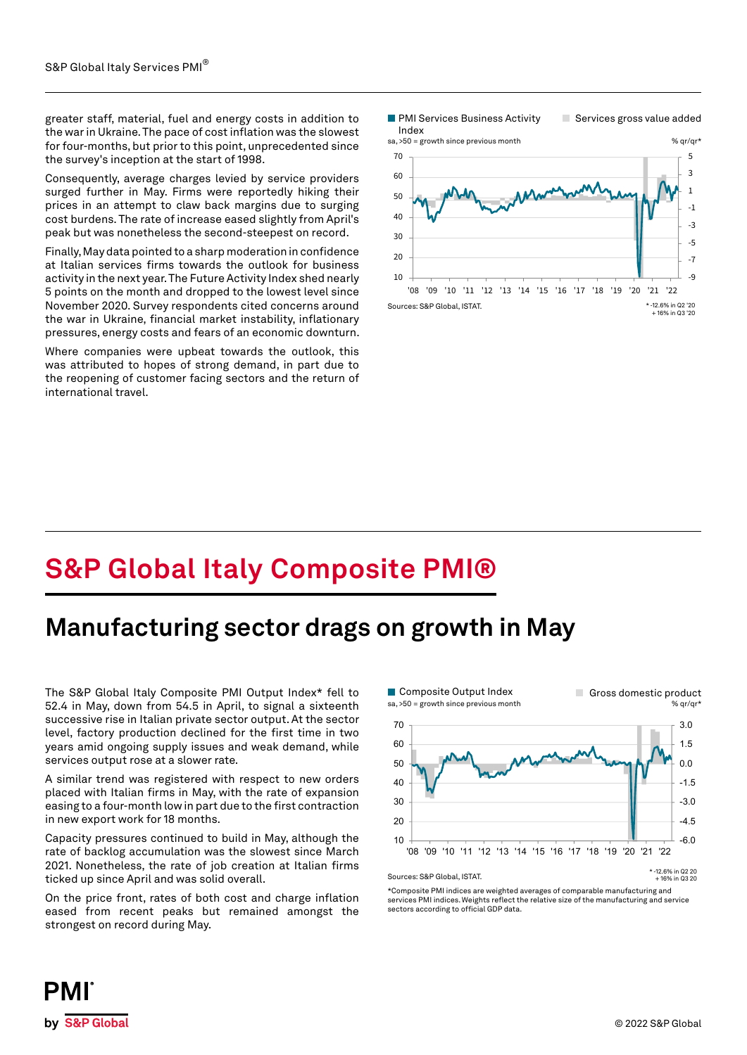greater staff, material, fuel and energy costs in addition to the war in Ukraine. The pace of cost inflation was the slowest for four-months, but prior to this point, unprecedented since the survey's inception at the start of 1998.

Consequently, average charges levied by service providers surged further in May. Firms were reportedly hiking their prices in an attempt to claw back margins due to surging cost burdens. The rate of increase eased slightly from April's peak but was nonetheless the second-steepest on record.

Finally, May data pointed to a sharp moderation in confidence at Italian services firms towards the outlook for business activity in the next year. The Future Activity Index shed nearly 5 points on the month and dropped to the lowest level since November 2020. Survey respondents cited concerns around the war in Ukraine, financial market instability, inflationary pressures, energy costs and fears of an economic downturn.

Where companies were upbeat towards the outlook, this was attributed to hopes of strong demand, in part due to the reopening of customer facing sectors and the return of international travel.

**PMI Services Business Activity** 

Services gross value added



## **S&P Global Italy Composite PMI®**

### **Manufacturing sector drags on growth in May**

The S&P Global Italy Composite PMI Output Index\* fell to 52.4 in May, down from 54.5 in April, to signal a sixteenth successive rise in Italian private sector output. At the sector level, factory production declined for the first time in two years amid ongoing supply issues and weak demand, while services output rose at a slower rate.

A similar trend was registered with respect to new orders placed with Italian firms in May, with the rate of expansion easing to a four-month low in part due to the first contraction in new export work for 18 months.

Capacity pressures continued to build in May, although the rate of backlog accumulation was the slowest since March 2021. Nonetheless, the rate of job creation at Italian firms ticked up since April and was solid overall.

On the price front, rates of both cost and charge inflation eased from recent peaks but remained amongst the strongest on record during May.



\*Composite PMI indices are weighted averages of comparable manufacturing and services PMI indices. Weights reflect the relative size of the manufacturing and service sectors according to official GDP data.